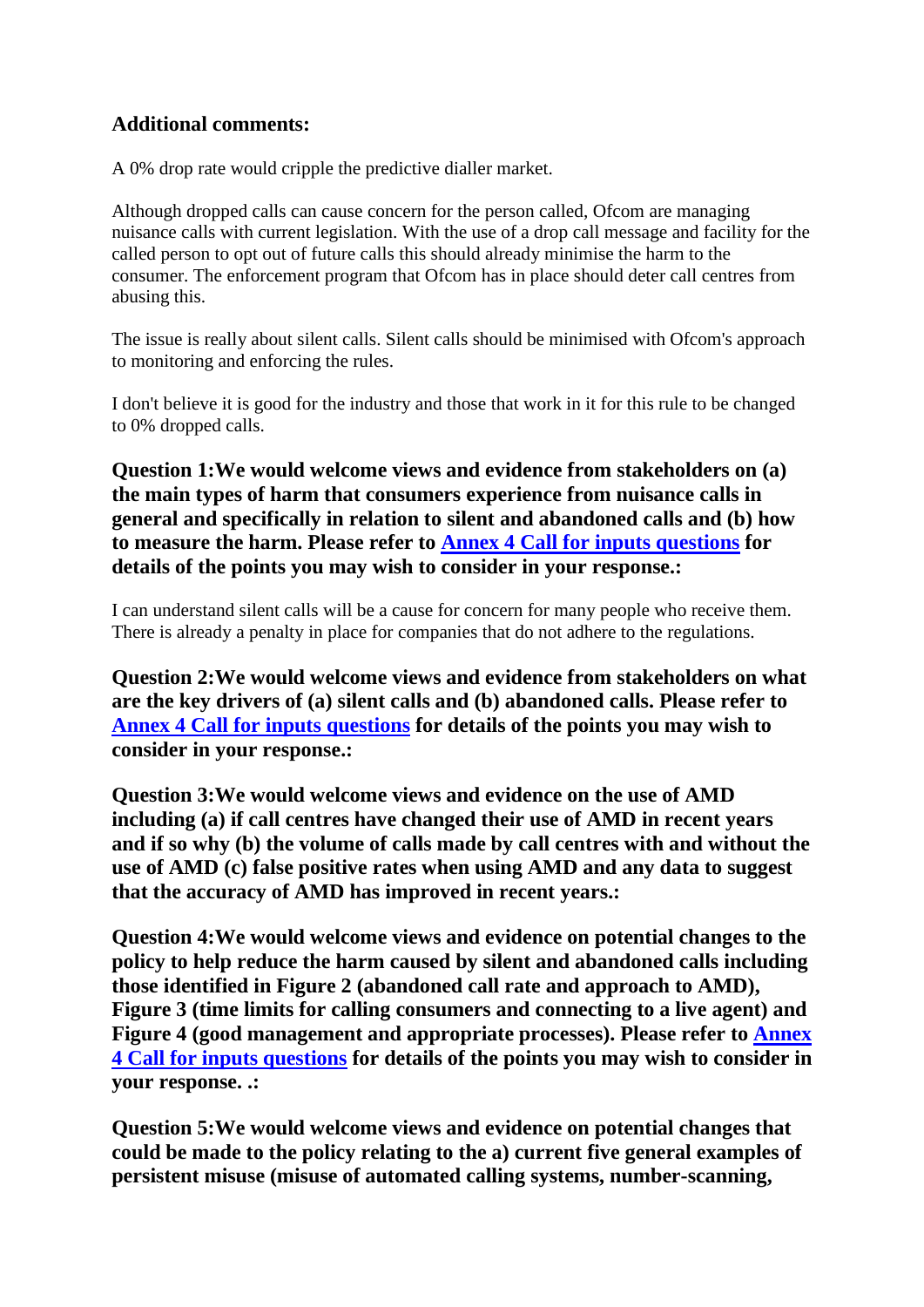## **Additional comments:**

A 0% drop rate would cripple the predictive dialler market.

Although dropped calls can cause concern for the person called, Ofcom are managing nuisance calls with current legislation. With the use of a drop call message and facility for the called person to opt out of future calls this should already minimise the harm to the consumer. The enforcement program that Ofcom has in place should deter call centres from abusing this.

The issue is really about silent calls. Silent calls should be minimised with Ofcom's approach to monitoring and enforcing the rules.

I don't believe it is good for the industry and those that work in it for this rule to be changed to 0% dropped calls.

**Question 1:We would welcome views and evidence from stakeholders on (a) the main types of harm that consumers experience from nuisance calls in general and specifically in relation to silent and abandoned calls and (b) how to measure the harm. Please refer to Annex 4 Call for inputs questions for details of the points you may wish to consider in your response.:**

I can understand silent calls will be a cause for concern for many people who receive them. There is already a penalty in place for companies that do not adhere to the regulations.

**Question 2:We would welcome views and evidence from stakeholders on what are the key drivers of (a) silent calls and (b) abandoned calls. Please refer to Annex 4 Call for inputs questions for details of the points you may wish to consider in your response.:**

**Question 3:We would welcome views and evidence on the use of AMD including (a) if call centres have changed their use of AMD in recent years and if so why (b) the volume of calls made by call centres with and without the use of AMD (c) false positive rates when using AMD and any data to suggest that the accuracy of AMD has improved in recent years.:**

**Question 4:We would welcome views and evidence on potential changes to the policy to help reduce the harm caused by silent and abandoned calls including those identified in Figure 2 (abandoned call rate and approach to AMD), Figure 3 (time limits for calling consumers and connecting to a live agent) and Figure 4 (good management and appropriate processes). Please refer to Annex 4 Call for inputs questions for details of the points you may wish to consider in your response. .:**

**Question 5:We would welcome views and evidence on potential changes that could be made to the policy relating to the a) current five general examples of persistent misuse (misuse of automated calling systems, number-scanning,**